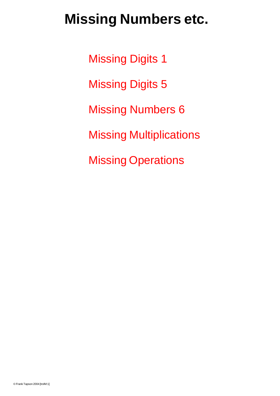# **Missing Numbers etc.**

Missing Digits 1 Missing Digits 5 Missing Numbers 6 Missing Multiplications Missing Operations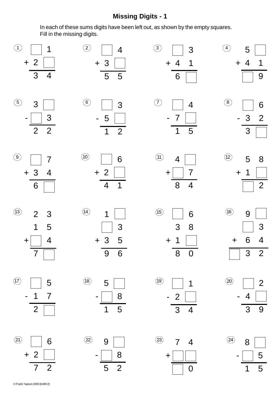#### **Missing Digits - 1**

In each of these sums digits have been left out, as shown by the empty squares. Fill in the missing digits.

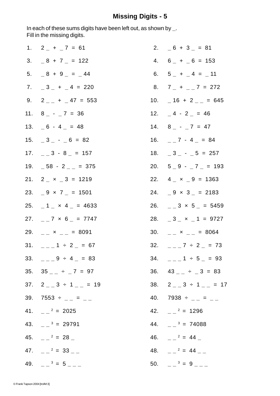## **Missing Digits - 5**

In each of these sums digits have been left out, as shown by **\_**. Fill in the missing digits.

|     | 1. $2 - + -7 = 61$               |     | 2. $-6 + 3 - 81$                           |
|-----|----------------------------------|-----|--------------------------------------------|
|     | 3. $-8 + 7 - = 122$              |     | 4. $6 + 6 = 153$                           |
|     | $5. \quad 8 + 9 = 44$            |     | 6. $5 - + -4 = -11$                        |
|     | 7. $-3$ + $-4$ = 220             | 8.  | $7 + -7 = 272$                             |
|     | 9. $2_{-}$ + $-$ 47 = 553        | 10. | $-16 + 2 - = 645$                          |
|     | 11. $8 - -7 = 36$                |     | 12. $-4$ - 2 = 46                          |
|     | 13. $\sqrt{6 - 4} = 48$          |     | 14. $8 - -7 = 47$                          |
|     | 15. $-3 - -6 = 82$               | 16. | $-27 - 4 = 84$                             |
|     | $17. \quad \_ 3 - 8 \quad = 157$ |     | 18. $-3 - -5 = 257$                        |
|     | 19. $-58 - 2 - 375$              |     | 20. $5-9$ - $7-$ = 193                     |
|     | 21. $2 - x - 3 = 1219$           |     | 22. $4 - x - 9 = 1363$                     |
|     | 23. $-9 \times 7 = 1501$         |     | 24. $-9 \times 3 = 2183$                   |
|     | 25. $-1 - x 4 = 4633$            | 26. | $-23 \times 5 = 5459$                      |
| 27. | $-27 \times 6 = 7747$            | 28. | $-3 - x - 1 = 9727$                        |
|     | 29. $- x - = 8091$               |     | 30. $\qquad \qquad - \times \qquad = 8064$ |
|     | 31. $-2 = 1 \div 2 = 67$         |     | 32. $-2 = 7 \div 2 = 73$                   |
|     | 33. $-2 = 9 \div 4 = 83$         |     | 34. $\qquad \qquad -1 + 5 = 93$            |
|     | 35. $35_{--} \div 7 = 97$        |     | 36. $43 - 7 = 3 = 83$                      |
|     | 37. $2 - 3 \div 1 = 19$          |     | 38. $2 - 3 \div 1 = 17$                    |
|     | 39. $7553 \div \_ = \_ = \_$     |     | 40. 7938 $\div$ $_{--}$ = $_{--}$          |
|     | 41. $-2 = 2025$                  |     | 42. $-2^2 = 1296$                          |
|     | 43. $\frac{3}{2}$ = 29791        |     | 44. $\frac{3}{2}$ = 74088                  |
|     | 45. $\frac{2}{x^2} = 28$         |     | 46. $\frac{2}{x^2} = 44$                   |
|     | 47. $-2 = 33$                    |     | 48. $\frac{2}{x} = 44$                     |
|     | 49. $  ^3$ = 5 $ -$              |     | 50. $  ^3$ = 9 $ -$                        |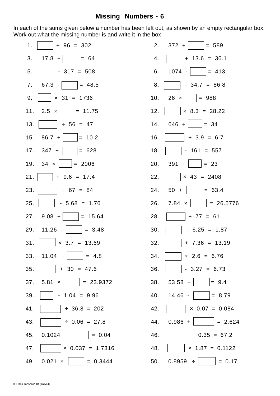### **Missing Numbers - 6**

In each of the sums given below a number has been left out, as shown by an empty rectangular box. Work out what the missing number is and write it in the box.

| 1.  | $+ 96 = 302$                                   | 2.  | $372 +$ $= 589$               |
|-----|------------------------------------------------|-----|-------------------------------|
| 3.  | $ 17.8 +  $ = 64                               | 4.  | $+ 13.6 = 36.1$               |
| 5.  | $-317 = 508$                                   | 6.  | $1074$ - $= 413$              |
| 7.  | $67.3  = 48.5$                                 | 8.  | $\vert$ - 34.7 = 86.8         |
| 9.  | $\times$ 31 = 1736<br><b>Contract Contract</b> | 10. | $26 \times$ = 988             |
|     | 11. 2.5 $\times$   = 11.75                     | 12. | $\vert x \vert 8.3 = 28.22$   |
| 13. | $\div 56 = 47$                                 | 14. | $646 \div$ = 34               |
|     | 15. 86.7 $\div$   = 10.2                       | 16. | $\div$ 3.9 = 6.7              |
|     | 17. $347 +$ $= 628$                            | 18. | $-161 = 557$                  |
|     | 19. $34 \times  $ = 2006                       | 20. | $391 \div   = 23$             |
| 21. | $+9.6 = 17.4$                                  | 22. | $\vert x \vert 43 = 2408$     |
| 23. | $\div 67 = 84$                                 | 24. | $50 +$ = 63.4                 |
| 25. | $-5.68 = 1.76$                                 | 26. | $7.84 \times \vert$ = 26.5776 |
| 27. | $9.08 +$ $= 15.64$                             | 28. | $\div$ 77 = 61                |
|     | 29. $11.26$ - $\vert$ = 3.48                   | 30. | $-6.25 = 1.87$                |
| 31. | $\times$ 3.7 = 13.69<br>1999 - J               | 32. | $+ 7.36 = 13.19$              |
|     | 33. $11.04 \div \boxed{ } = 4.8$               | 34. | $x 2.6 = 6.76$                |
| 35. | $+ 30 = 47.6$                                  | 36. | $-3.27 = 6.73$                |
| 37. | $5.81 \times$<br>$= 23.9372$                   | 38. | $53.58 \div$ = 9.4            |
| 39. | $-1.04 = 9.96$                                 | 40. | $= 8.79$<br>$14.46 -$         |
| 41. | $+36.8 = 202$                                  | 42. | $\times 0.07 = 0.084$         |
| 43. | $\div$ 0.06 = 27.8                             | 44. | $0.986 +$ = 2.624             |
| 45. | $0.1024 \div$   = 0.04                         | 46. | $\div$ 0.35 = 67.2            |
| 47. | $\vert x\vert 0.037 = 1.7316$                  | 48. | $\times$ 1.87 = 0.1122        |
| 49. | $0.021 \times$   = 0.3444                      | 50. | 0.8959 :<br>$\vert = 0.17$    |

| 1 <sub>1</sub> | $+ 96 = 302$                  | 2.  | $372 +$<br>$= 589$                |
|----------------|-------------------------------|-----|-----------------------------------|
| 3.             | $ 17.8 +  $ = 64              | 4.  | $+ 13.6 = 36.1$                   |
| 5.             | $-317 = 508$                  | 6.  | $ 1074 -   = 413$                 |
| 7.             | $67.3  = 48.5$                | 8.  | $-34.7 = 86.8$                    |
| 9.             | $\vert \times 31 = 1736$      |     | 10. 26 $\times$   = 988           |
|                | 11. 2.5 $\times$   = 11.75    | 12. | $\vert x \vert 8.3 = 28.22$       |
| 13.            | $ \div 56 = 47$               | 14. | $646 \div$ = 34                   |
| 15.            | 86.7 $\div$  <br>$= 10.2$     | 16. | $\div 3.9 = 6.7$                  |
|                | 17. $347 +$<br>$\vert = 628$  | 18. | $-161 = 557$                      |
|                | 19. $34 \times  $ = 2006      | 20. | $391 \div  $   = 23               |
| 21.            | $+9.6 = 17.4$                 | 22. | $\vert \times 43 = 2408$          |
| 23.            | $\div$ 67 = 84                |     | 24. $50 +$ = 63.4                 |
| 25.            | $-5.68 = 1.76$                | 26. | $7.84 \times  $ = 26.5776         |
| 27.            | $9.08 +$ $= 15.64$            | 28. | $\div$ 77 = 61                    |
|                | 29. $11.26$ - $\vert$ = 3.48  | 30. | $-6.25 = 1.87$                    |
| 31.            | $\times$ 3.7 = 13.69          | 32. | $+ 7.36 = 13.19$                  |
|                | 33. $11.04 \div$ = 4.8        | 34. | $\times$ 2.6 = 6.76               |
| 35.            | $+ 30 = 47.6$                 | 36. | $-3.27 = 6.73$                    |
| 37.            | $5.81 \times$   = 23.9372     | 38. | $53.58 \div$ = 9.4                |
| 39.            | $-1.04 = 9.96$                | 40. | $14.46 -$<br>$= 8.79$             |
| 41.            | $+36.8 = 202$                 | 42. | $\vert \times 0.07 = 0.084 \vert$ |
| 43.            | $\div$ 0.06 = 27.8            | 44. | $0.986 +$   = 2.624               |
| 45.            | $0.1024 \div$ = 0.04          | 46. | $\div$ 0.35 = 67.2                |
| 47.            | $\times$ 0.037 = 1.7316       | 48. | $\times$ 1.87 = 0.1122            |
|                | 49. $0.021 \times  $ = 0.3444 |     | 50. $0.8959 \div$ $\vert$ = 0.17  |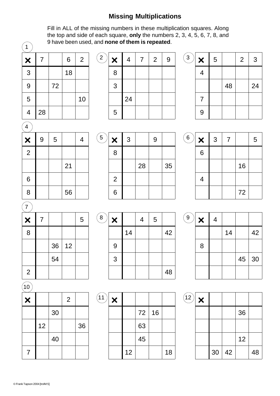## **Missing Multiplications**

Fill in ALL of the missing numbers in these multiplication squares. Along the top and side of each square, **only** the numbers 2, 3, 4, 5, 6, 7, 8, and 9 have been used, and **none of them is repeated**.

| 1 |    | 9 nave been use |    |                |  |  |  |  |  |
|---|----|-----------------|----|----------------|--|--|--|--|--|
| × | 7  |                 | 6  | $\overline{2}$ |  |  |  |  |  |
| 3 |    |                 | 18 |                |  |  |  |  |  |
| 9 |    | 72              |    |                |  |  |  |  |  |
| 5 |    |                 |    | 10             |  |  |  |  |  |
| 4 | 28 |                 |    |                |  |  |  |  |  |

| $\overline{2}$ | $\bm{x}$ | 4  | 7 | $\overline{2}$ | 9 | $\mathbf{3}$ | X |
|----------------|----------|----|---|----------------|---|--------------|---|
|                | 8        |    |   |                |   |              | 4 |
|                | 3        |    |   |                |   |              |   |
|                |          | 24 |   |                |   |              |   |
|                | 5        |    |   |                |   |              | 9 |

| 3 | ×              | 5 |    | $\overline{2}$ | 3  |
|---|----------------|---|----|----------------|----|
|   | 4              |   |    |                |    |
|   |                |   | 48 |                | 24 |
|   | $\overline{7}$ |   |    |                |    |
|   | 9              |   |    |                |    |

| 4              |   |   |    |   |  |  |  |  |  |  |
|----------------|---|---|----|---|--|--|--|--|--|--|
| $\pmb{\times}$ | 9 | 5 |    | 4 |  |  |  |  |  |  |
| $\overline{2}$ |   |   |    |   |  |  |  |  |  |  |
|                |   |   | 21 |   |  |  |  |  |  |  |
| 6              |   |   |    |   |  |  |  |  |  |  |
| 8              |   |   | 56 |   |  |  |  |  |  |  |

| 5 | $\pmb{\times}$ | 3 |    | 9 |    | 6 |
|---|----------------|---|----|---|----|---|
|   | 8              |   |    |   |    |   |
|   |                |   | 28 |   | 35 |   |
|   | $\overline{2}$ |   |    |   |    |   |
|   | 6              |   |    |   |    |   |

| ×               | 3 |    | 9 |    | $'$ 6 | $\bm{x}$ | $\mathbf{3}$ | $\overline{7}$ |    | 5 |
|-----------------|---|----|---|----|-------|----------|--------------|----------------|----|---|
| 8               |   |    |   |    |       | 6        |              |                |    |   |
|                 |   | 28 |   | 35 |       |          |              |                | 16 |   |
| $\overline{2}$  |   |    |   |    |       |          |              |                |    |   |
| $6\phantom{1}6$ |   |    |   |    |       |          |              |                | 72 |   |

| 7              |   |    |    |   |         |   |
|----------------|---|----|----|---|---------|---|
| ×              | 7 |    |    | 5 | $\bf 8$ |   |
| 8              |   |    |    |   |         |   |
|                |   | 36 | 12 |   |         | 9 |
|                |   | 54 |    |   |         | 3 |
| $\overline{2}$ |   |    |    |   |         |   |
|                |   |    |    |   |         |   |

 $\widehat{10}$ 

| Ÿ |    |    |                |    |
|---|----|----|----------------|----|
| × |    |    | $\overline{2}$ |    |
|   |    | 30 |                |    |
|   | 12 |    |                | 36 |
|   |    | 40 |                |    |
| 7 |    |    |                |    |



| $\overline{9}$ | × | 4 |    |    |    |
|----------------|---|---|----|----|----|
|                |   |   | 14 |    | 42 |
|                | 8 |   |    |    |    |
|                |   |   |    | 45 | 30 |
|                |   |   |    |    |    |

| $\frac{11}{1}$ | $\bm{x}$ |    |    |    |    | 12 |
|----------------|----------|----|----|----|----|----|
|                |          |    | 72 | 16 |    |    |
|                |          |    | 63 |    |    |    |
|                |          |    | 45 |    |    |    |
|                |          | 12 |    |    | 18 |    |

| $\mathbf{2}$ | × |    |    |    |    |
|--------------|---|----|----|----|----|
|              |   |    |    | 36 |    |
|              |   |    |    |    |    |
|              |   |    |    | 12 |    |
|              |   | 30 | 42 |    | 48 |